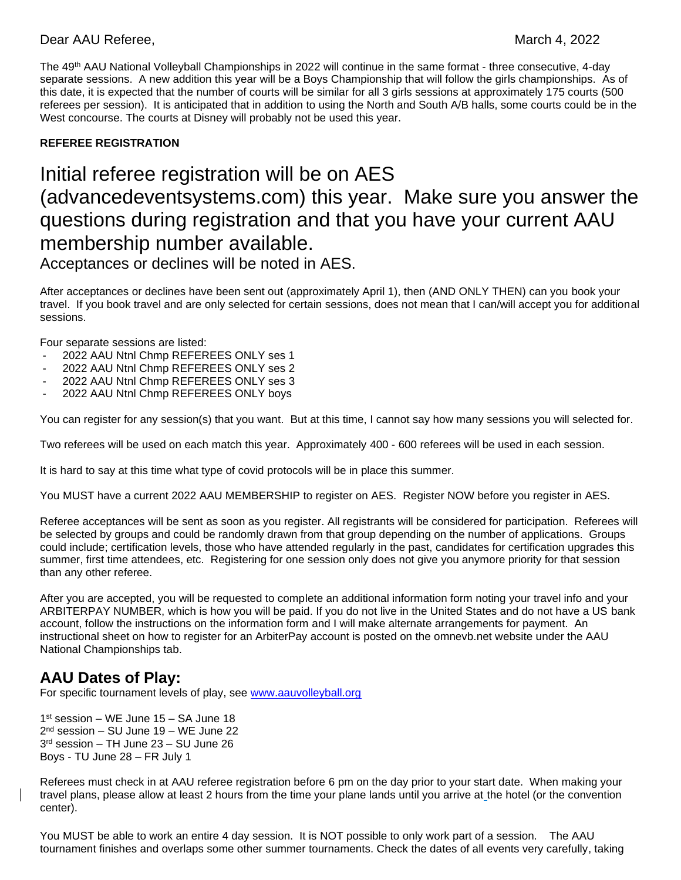### Dear AAU Referee, March 4, 2022

The 49 th AAU National Volleyball Championships in 2022 will continue in the same format - three consecutive, 4-day separate sessions. A new addition this year will be a Boys Championship that will follow the girls championships. As of this date, it is expected that the number of courts will be similar for all 3 girls sessions at approximately 175 courts (500 referees per session). It is anticipated that in addition to using the North and South A/B halls, some courts could be in the West concourse. The courts at Disney will probably not be used this year.

### **REFEREE REGISTRATION**

# Initial referee registration will be on AES (advancedeventsystems.com) this year. Make sure you answer the questions during registration and that you have your current AAU membership number available.

Acceptances or declines will be noted in AES.

After acceptances or declines have been sent out (approximately April 1), then (AND ONLY THEN) can you book your travel. If you book travel and are only selected for certain sessions, does not mean that I can/will accept you for additional sessions.

Four separate sessions are listed:

- 2022 AAU Ntnl Chmp REFEREES ONLY ses 1
- 2022 AAU Ntnl Chmp REFEREES ONLY ses 2
- 2022 AAU Ntnl Chmp REFEREES ONLY ses 3
- 2022 AAU Ntnl Chmp REFEREES ONLY boys

You can register for any session(s) that you want. But at this time, I cannot say how many sessions you will selected for.

Two referees will be used on each match this year. Approximately 400 - 600 referees will be used in each session.

It is hard to say at this time what type of covid protocols will be in place this summer.

You MUST have a current 2022 AAU MEMBERSHIP to register on AES. Register NOW before you register in AES.

Referee acceptances will be sent as soon as you register. All registrants will be considered for participation. Referees will be selected by groups and could be randomly drawn from that group depending on the number of applications. Groups could include; certification levels, those who have attended regularly in the past, candidates for certification upgrades this summer, first time attendees, etc. Registering for one session only does not give you anymore priority for that session than any other referee.

After you are accepted, you will be requested to complete an additional information form noting your travel info and your ARBITERPAY NUMBER, which is how you will be paid. If you do not live in the United States and do not have a US bank account, follow the instructions on the information form and I will make alternate arrangements for payment. An instructional sheet on how to register for an ArbiterPay account is posted on the omnevb.net website under the AAU National Championships tab.

## **AAU Dates of Play:**

For specific tournament levels of play, see [www.aauvolleyball.org](http://www.aauvolleyball.org/)

 st session – WE June 15 – SA June 18 nd session – SU June 19 – WE June 22 rd session – TH June 23 – SU June 26 Boys - TU June 28 – FR July 1

Referees must check in at AAU referee registration before 6 pm on the day prior to your start date. When making your travel plans, please allow at least 2 hours from the time your plane lands until you arrive at the hotel (or the convention center).

You MUST be able to work an entire 4 day session. It is NOT possible to only work part of a session. The AAU tournament finishes and overlaps some other summer tournaments. Check the dates of all events very carefully, taking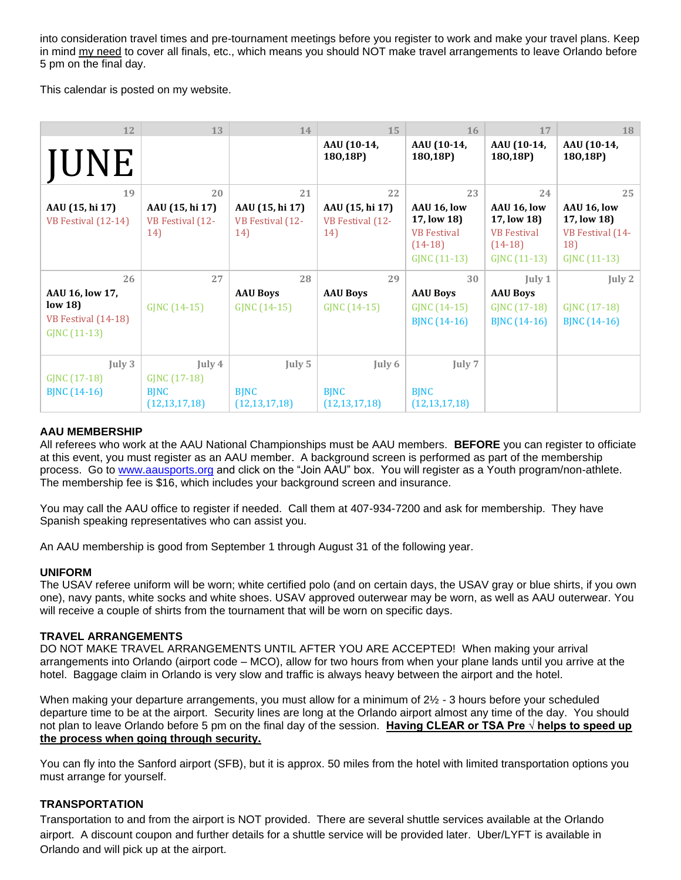into consideration travel times and pre-tournament meetings before you register to work and make your travel plans. Keep in mind my need to cover all finals, etc., which means you should NOT make travel arrangements to leave Orlando before 5 pm on the final day.

This calendar is posted on my website.

| 12                                                                | 13                                                                               | 14                                         | 15                                         | 16                                                                            | 17                                                                            | 18                                                                    |
|-------------------------------------------------------------------|----------------------------------------------------------------------------------|--------------------------------------------|--------------------------------------------|-------------------------------------------------------------------------------|-------------------------------------------------------------------------------|-----------------------------------------------------------------------|
| <b>JUNE</b>                                                       |                                                                                  |                                            | AAU (10-14,<br>180,18P)                    | AAU (10-14,<br>180,18P)                                                       | AAU (10-14,<br>180,18P)                                                       | AAU (10-14,<br>180,18P)                                               |
| 19                                                                | 20                                                                               | 21                                         | 22                                         | 23                                                                            | 24                                                                            | 25                                                                    |
| AAU (15, hi 17)<br>VB Festival (12-14)                            | AAU (15, hi 17)<br>VB Festival (12-<br>14)                                       | AAU (15, hi 17)<br>VB Festival (12-<br>14) | AAU (15, hi 17)<br>VB Festival (12-<br>14) | AAU 16, low<br>17, low 18)<br><b>VB</b> Festival<br>$(14-18)$<br>GJNC (11-13) | AAU 16, low<br>17, low 18)<br><b>VB</b> Festival<br>$(14-18)$<br>GJNC (11-13) | AAU 16, low<br>17, low 18)<br>VB Festival (14-<br>18)<br>GJNC (11-13) |
| 26                                                                | 27                                                                               | 28                                         | 29                                         | 30                                                                            | July 1                                                                        | July 2                                                                |
| AAU 16, low 17,<br>low 18)<br>VB Festival (14-18)<br>GJNC (11-13) | GJNC (14-15)                                                                     | <b>AAU Boys</b><br>GJNC (14-15)            | <b>AAU Boys</b><br>GJNC (14-15)            | <b>AAU Boys</b><br>GJNC (14-15)<br>BJNC (14-16)                               | <b>AAU Boys</b><br>GJNC (17-18)<br>BJNC (14-16)                               | GJNC (17-18)<br><b>BJNC</b> (14-16)                                   |
| July $3$<br>GJNC (17-18)<br>BINC (14-16)                          | $\lceil \text{uly } 4 \rceil$<br>GJNC (17-18)<br><b>BINC</b><br>(12, 13, 17, 18) | July 5<br><b>BINC</b><br>(12, 13, 17, 18)  | July 6<br><b>BINC</b><br>(12, 13, 17, 18)  | July 7<br><b>BJNC</b><br>(12, 13, 17, 18)                                     |                                                                               |                                                                       |

#### **AAU MEMBERSHIP**

All referees who work at the AAU National Championships must be AAU members. **BEFORE** you can register to officiate at this event, you must register as an AAU member. A background screen is performed as part of the membership process. Go to [www.aausports.org](http://www.aausports.org/) and click on the "Join AAU" box. You will register as a Youth program/non-athlete. The membership fee is \$16, which includes your background screen and insurance.

You may call the AAU office to register if needed. Call them at 407-934-7200 and ask for membership. They have Spanish speaking representatives who can assist you.

An AAU membership is good from September 1 through August 31 of the following year.

#### **UNIFORM**

The USAV referee uniform will be worn; white certified polo (and on certain days, the USAV gray or blue shirts, if you own one), navy pants, white socks and white shoes. USAV approved outerwear may be worn, as well as AAU outerwear. You will receive a couple of shirts from the tournament that will be worn on specific days.

#### **TRAVEL ARRANGEMENTS**

DO NOT MAKE TRAVEL ARRANGEMENTS UNTIL AFTER YOU ARE ACCEPTED! When making your arrival arrangements into Orlando (airport code – MCO), allow for two hours from when your plane lands until you arrive at the hotel. Baggage claim in Orlando is very slow and traffic is always heavy between the airport and the hotel.

When making your departure arrangements, you must allow for a minimum of 2½ - 3 hours before your scheduled departure time to be at the airport. Security lines are long at the Orlando airport almost any time of the day. You should not plan to leave Orlando before 5 pm on the final day of the session. **Having CLEAR or TSA Pre √ helps to speed up the process when going through security.**

You can fly into the Sanford airport (SFB), but it is approx. 50 miles from the hotel with limited transportation options you must arrange for yourself.

#### **TRANSPORTATION**

Transportation to and from the airport is NOT provided. There are several shuttle services available at the Orlando airport. A discount coupon and further details for a shuttle service will be provided later. Uber/LYFT is available in Orlando and will pick up at the airport.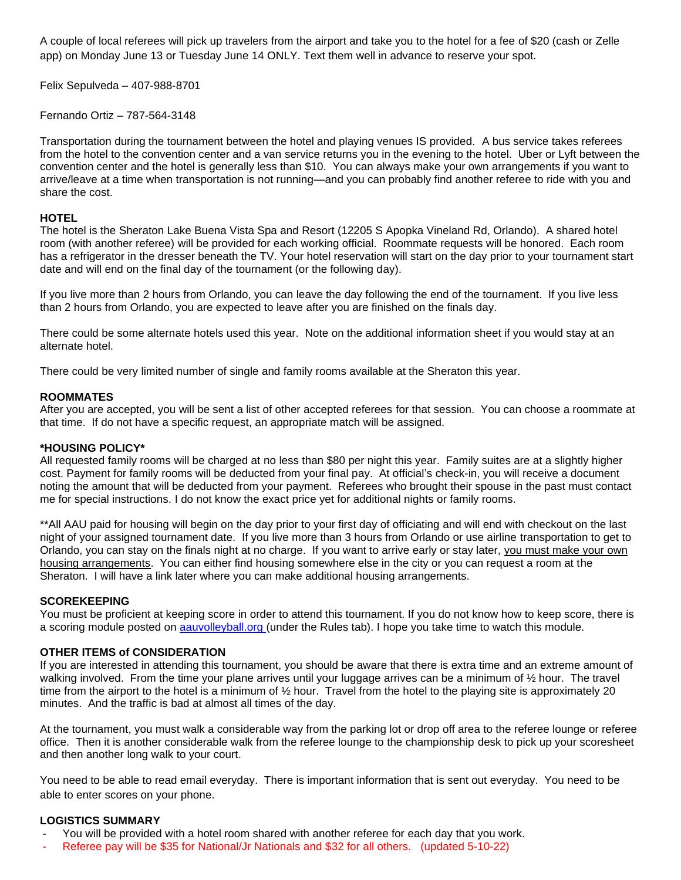A couple of local referees will pick up travelers from the airport and take you to the hotel for a fee of \$20 (cash or Zelle app) on Monday June 13 or Tuesday June 14 ONLY. Text them well in advance to reserve your spot.

Felix Sepulveda – 407-988-8701

Fernando Ortiz – 787-564-3148

Transportation during the tournament between the hotel and playing venues IS provided. A bus service takes referees from the hotel to the convention center and a van service returns you in the evening to the hotel. Uber or Lyft between the convention center and the hotel is generally less than \$10. You can always make your own arrangements if you want to arrive/leave at a time when transportation is not running—and you can probably find another referee to ride with you and share the cost.

#### **HOTEL**

The hotel is the Sheraton Lake Buena Vista Spa and Resort (12205 S Apopka Vineland Rd, Orlando). A shared hotel room (with another referee) will be provided for each working official. Roommate requests will be honored. Each room has a refrigerator in the dresser beneath the TV. Your hotel reservation will start on the day prior to your tournament start date and will end on the final day of the tournament (or the following day).

If you live more than 2 hours from Orlando, you can leave the day following the end of the tournament. If you live less than 2 hours from Orlando, you are expected to leave after you are finished on the finals day.

There could be some alternate hotels used this year. Note on the additional information sheet if you would stay at an alternate hotel.

There could be very limited number of single and family rooms available at the Sheraton this year.

#### **ROOMMATES**

After you are accepted, you will be sent a list of other accepted referees for that session. You can choose a roommate at that time. If do not have a specific request, an appropriate match will be assigned.

#### **\*HOUSING POLICY\***

All requested family rooms will be charged at no less than \$80 per night this year. Family suites are at a slightly higher cost. Payment for family rooms will be deducted from your final pay. At official's check-in, you will receive a document noting the amount that will be deducted from your payment. Referees who brought their spouse in the past must contact me for special instructions. I do not know the exact price yet for additional nights or family rooms.

\*\*All AAU paid for housing will begin on the day prior to your first day of officiating and will end with checkout on the last night of your assigned tournament date. If you live more than 3 hours from Orlando or use airline transportation to get to Orlando, you can stay on the finals night at no charge. If you want to arrive early or stay later, you must make your own housing arrangements. You can either find housing somewhere else in the city or you can request a room at the Sheraton. I will have a link later where you can make additional housing arrangements.

#### **SCOREKEEPING**

You must be proficient at keeping score in order to attend this tournament. If you do not know how to keep score, there is a scoring module posted on aauvolleyball.org (under the Rules tab). I hope you take time to watch this module.

#### **OTHER ITEMS of CONSIDERATION**

If you are interested in attending this tournament, you should be aware that there is extra time and an extreme amount of walking involved. From the time your plane arrives until your luggage arrives can be a minimum of 1/2 hour. The travel time from the airport to the hotel is a minimum of 1/2 hour. Travel from the hotel to the playing site is approximately 20 minutes. And the traffic is bad at almost all times of the day.

At the tournament, you must walk a considerable way from the parking lot or drop off area to the referee lounge or referee office. Then it is another considerable walk from the referee lounge to the championship desk to pick up your scoresheet and then another long walk to your court.

You need to be able to read email everyday. There is important information that is sent out everyday. You need to be able to enter scores on your phone.

#### **LOGISTICS SUMMARY**

- You will be provided with a hotel room shared with another referee for each day that you work.
- Referee pay will be \$35 for National/Jr Nationals and \$32 for all others. (updated 5-10-22)